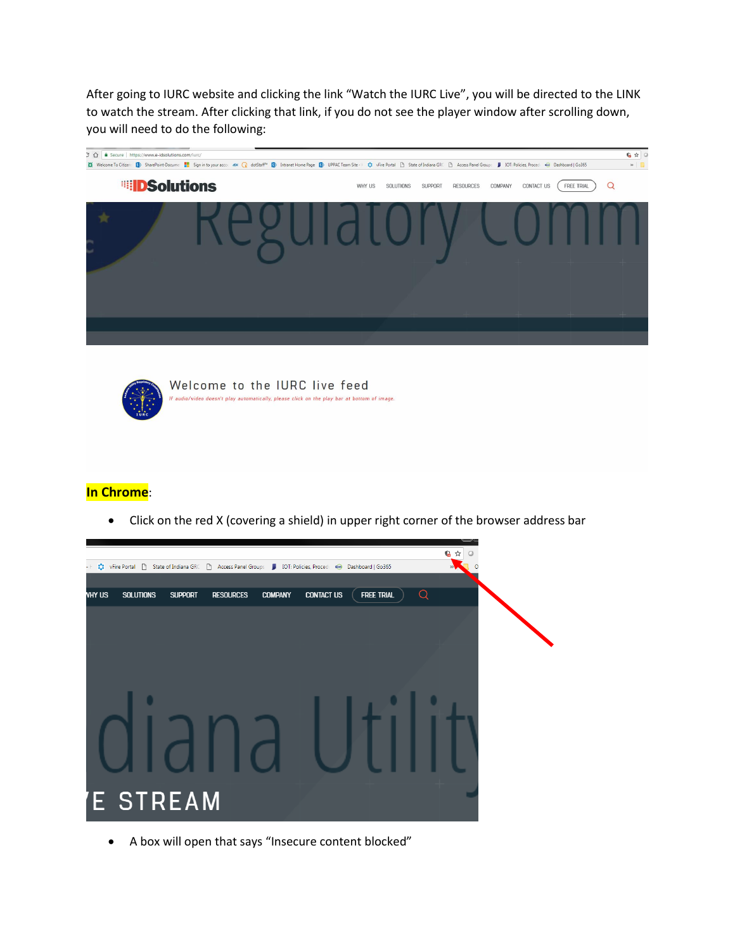After going to IURC website and clicking the link "Watch the IURC Live", you will be directed to the LINK to watch the stream. After clicking that link, if you do not see the player window after scrolling down, you will need to do the following:





**In Chrome**:

Click on the red X (covering a shield) in upper right corner of the browser address bar



A box will open that says "Insecure content blocked"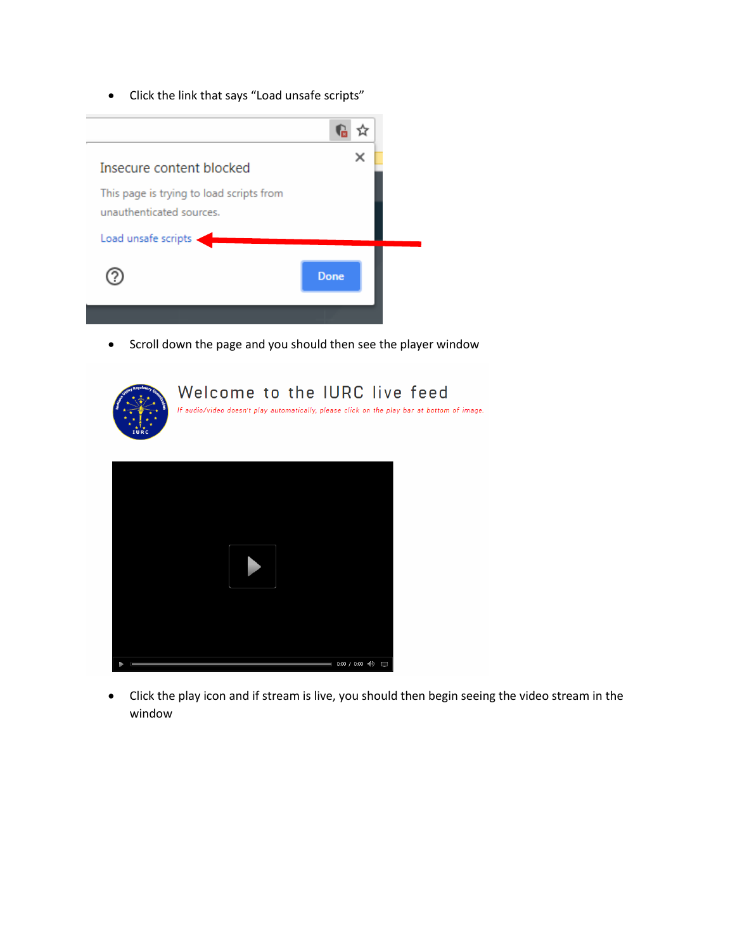Click the link that says "Load unsafe scripts"



• Scroll down the page and you should then see the player window



 Click the play icon and if stream is live, you should then begin seeing the video stream in the window